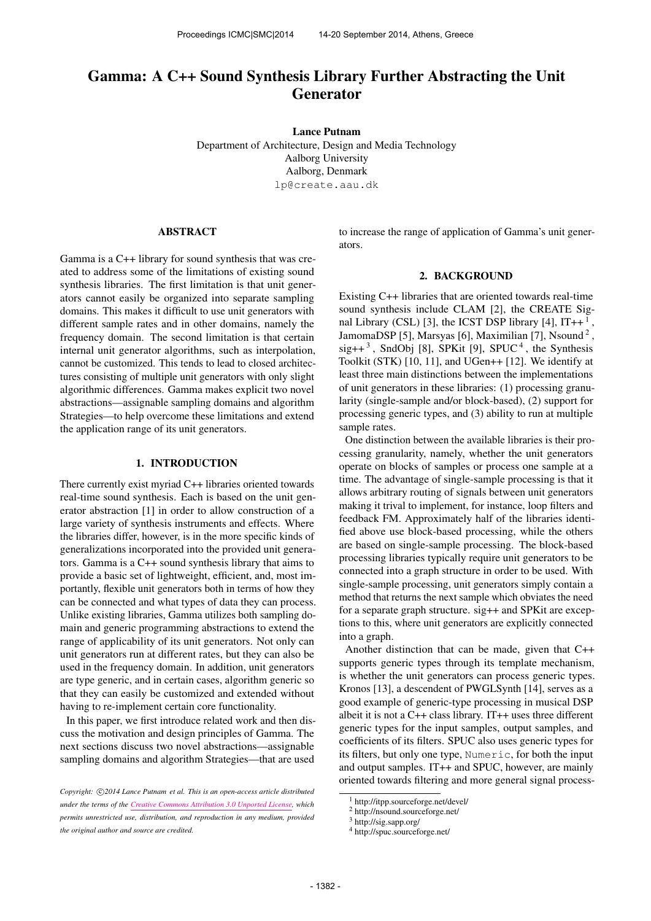# Gamma: A C++ Sound Synthesis Library Further Abstracting the Unit Generator

Lance Putnam Department of Architecture, Design and Media Technology Aalborg University Aalborg, Denmark [lp@create.aau.dk](mailto:lp@create.aau.dk)

#### ABSTRACT

Gamma is a C++ library for sound synthesis that was created to address some of the limitations of existing sound synthesis libraries. The first limitation is that unit generators cannot easily be organized into separate sampling domains. This makes it difficult to use unit generators with different sample rates and in other domains, namely the frequency domain. The second limitation is that certain internal unit generator algorithms, such as interpolation, cannot be customized. This tends to lead to closed architectures consisting of multiple unit generators with only slight algorithmic differences. Gamma makes explicit two novel abstractions—assignable sampling domains and algorithm Strategies—to help overcome these limitations and extend the application range of its unit generators.

## 1. INTRODUCTION

There currently exist myriad C++ libraries oriented towards real-time sound synthesis. Each is based on the unit generator abstraction [1] in order to allow construction of a large variety of synthesis instruments and effects. Where the libraries differ, however, is in the more specific kinds of generalizations incorporated into the provided unit generators. Gamma is a C++ sound synthesis library that aims to provide a basic set of lightweight, efficient, and, most importantly, flexible unit generators both in terms of how they can be connected and what types of data they can process. Unlike existing libraries, Gamma utilizes both sampling domain and generic programming abstractions to extend the range of applicability of its unit generators. Not only can unit generators run at different rates, but they can also be used in the frequency domain. In addition, unit generators are type generic, and in certain cases, algorithm generic so that they can easily be customized and extended without having to re-implement certain core functionality.

In this paper, we first introduce related work and then discuss the motivation and design principles of Gamma. The next sections discuss two novel abstractions—assignable sampling domains and algorithm Strategies—that are used

to increase the range of application of Gamma's unit generators.

#### 2. BACKGROUND

Existing C++ libraries that are oriented towards real-time sound synthesis include CLAM [2], the CREATE Signal Library (CSL) [3], the ICST DSP library [4],  $IT++^1$ , JamomaDSP [5], Marsyas [6], Maximilian [7], Nsound<sup>2</sup>,  $sig++<sup>3</sup>$ , SndObj [8], SPKit [9], SPUC<sup>4</sup>, the Synthesis Toolkit (STK) [10, 11], and UGen++ [12]. We identify at least three main distinctions between the implementations of unit generators in these libraries: (1) processing granularity (single-sample and/or block-based), (2) support for processing generic types, and (3) ability to run at multiple sample rates.

One distinction between the available libraries is their processing granularity, namely, whether the unit generators operate on blocks of samples or process one sample at a time. The advantage of single-sample processing is that it allows arbitrary routing of signals between unit generators making it trival to implement, for instance, loop filters and feedback FM. Approximately half of the libraries identified above use block-based processing, while the others are based on single-sample processing. The block-based processing libraries typically require unit generators to be connected into a graph structure in order to be used. With single-sample processing, unit generators simply contain a method that returns the next sample which obviates the need for a separate graph structure. sig++ and SPKit are exceptions to this, where unit generators are explicitly connected into a graph.

Another distinction that can be made, given that C++ supports generic types through its template mechanism, is whether the unit generators can process generic types. Kronos [13], a descendent of PWGLSynth [14], serves as a good example of generic-type processing in musical DSP albeit it is not a C++ class library. IT++ uses three different generic types for the input samples, output samples, and coefficients of its filters. SPUC also uses generic types for its filters, but only one type, Numeric, for both the input and output samples. IT++ and SPUC, however, are mainly oriented towards filtering and more general signal process-

Copyright:  $\bigcirc$ 2014 Lance Putnam et al. This is an open-access article distributed *under the terms of the [Creative Commons Attribution 3.0 Unported License,](http://creativecommons.org/licenses/by/3.0/) which permits unrestricted use, distribution, and reproduction in any medium, provided the original author and source are credited.*

<sup>1</sup> http://itpp.sourceforge.net/devel/

<sup>2</sup> http://nsound.sourceforge.net/

<sup>3</sup> http://sig.sapp.org/

<sup>4</sup> http://spuc.sourceforge.net/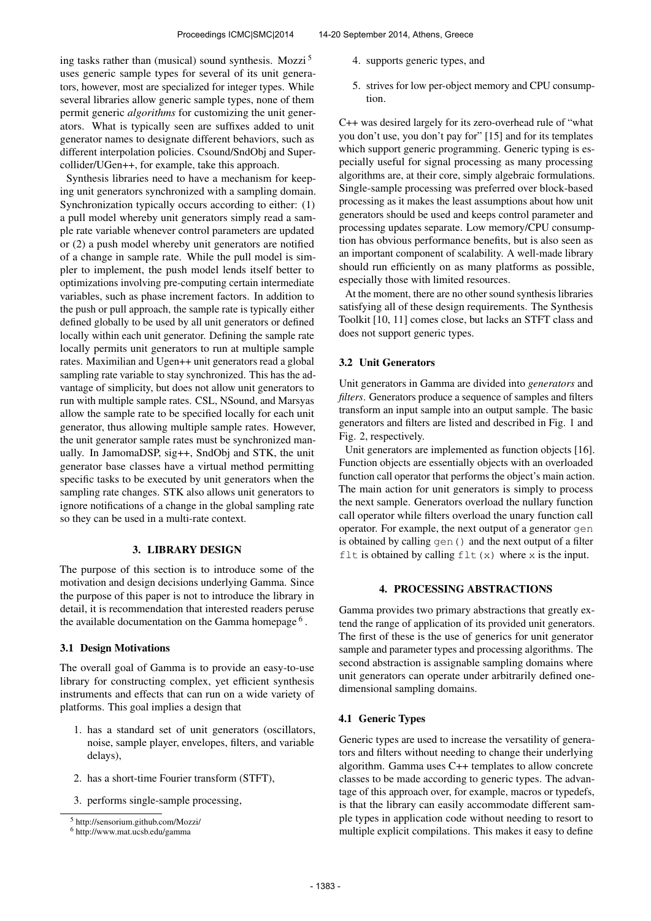ing tasks rather than (musical) sound synthesis. Mozzi<sup>5</sup> uses generic sample types for several of its unit generators, however, most are specialized for integer types. While several libraries allow generic sample types, none of them permit generic *algorithms* for customizing the unit generators. What is typically seen are suffixes added to unit generator names to designate different behaviors, such as different interpolation policies. Csound/SndObj and Supercollider/UGen++, for example, take this approach.

Synthesis libraries need to have a mechanism for keeping unit generators synchronized with a sampling domain. Synchronization typically occurs according to either: (1) a pull model whereby unit generators simply read a sample rate variable whenever control parameters are updated or (2) a push model whereby unit generators are notified of a change in sample rate. While the pull model is simpler to implement, the push model lends itself better to optimizations involving pre-computing certain intermediate variables, such as phase increment factors. In addition to the push or pull approach, the sample rate is typically either defined globally to be used by all unit generators or defined locally within each unit generator. Defining the sample rate locally permits unit generators to run at multiple sample rates. Maximilian and Ugen++ unit generators read a global sampling rate variable to stay synchronized. This has the advantage of simplicity, but does not allow unit generators to run with multiple sample rates. CSL, NSound, and Marsyas allow the sample rate to be specified locally for each unit generator, thus allowing multiple sample rates. However, the unit generator sample rates must be synchronized manually. In JamomaDSP, sig++, SndObj and STK, the unit generator base classes have a virtual method permitting specific tasks to be executed by unit generators when the sampling rate changes. STK also allows unit generators to ignore notifications of a change in the global sampling rate so they can be used in a multi-rate context.

## 3. LIBRARY DESIGN

The purpose of this section is to introduce some of the motivation and design decisions underlying Gamma. Since the purpose of this paper is not to introduce the library in detail, it is recommendation that interested readers peruse the available documentation on the Gamma homepage<sup>6</sup>.

## 3.1 Design Motivations

The overall goal of Gamma is to provide an easy-to-use library for constructing complex, yet efficient synthesis instruments and effects that can run on a wide variety of platforms. This goal implies a design that

- 1. has a standard set of unit generators (oscillators, noise, sample player, envelopes, filters, and variable delays),
- 2. has a short-time Fourier transform (STFT),
- 3. performs single-sample processing,
- 4. supports generic types, and
- 5. strives for low per-object memory and CPU consumption.

C++ was desired largely for its zero-overhead rule of "what you don't use, you don't pay for" [15] and for its templates which support generic programming. Generic typing is especially useful for signal processing as many processing algorithms are, at their core, simply algebraic formulations. Single-sample processing was preferred over block-based processing as it makes the least assumptions about how unit generators should be used and keeps control parameter and processing updates separate. Low memory/CPU consumption has obvious performance benefits, but is also seen as an important component of scalability. A well-made library should run efficiently on as many platforms as possible, especially those with limited resources.

At the moment, there are no other sound synthesis libraries satisfying all of these design requirements. The Synthesis Toolkit [10, 11] comes close, but lacks an STFT class and does not support generic types.

## 3.2 Unit Generators

Unit generators in Gamma are divided into *generators* and *filters*. Generators produce a sequence of samples and filters transform an input sample into an output sample. The basic generators and filters are listed and described in Fig. 1 and Fig. 2, respectively.

Unit generators are implemented as function objects [16]. Function objects are essentially objects with an overloaded function call operator that performs the object's main action. The main action for unit generators is simply to process the next sample. Generators overload the nullary function call operator while filters overload the unary function call operator. For example, the next output of a generator gen is obtained by calling gen() and the next output of a filter flt is obtained by calling  $f$ lt (x) where x is the input.

## 4. PROCESSING ABSTRACTIONS

Gamma provides two primary abstractions that greatly extend the range of application of its provided unit generators. The first of these is the use of generics for unit generator sample and parameter types and processing algorithms. The second abstraction is assignable sampling domains where unit generators can operate under arbitrarily defined onedimensional sampling domains.

#### 4.1 Generic Types

Generic types are used to increase the versatility of generators and filters without needing to change their underlying algorithm. Gamma uses C++ templates to allow concrete classes to be made according to generic types. The advantage of this approach over, for example, macros or typedefs, is that the library can easily accommodate different sample types in application code without needing to resort to multiple explicit compilations. This makes it easy to define

<sup>5</sup> http://sensorium.github.com/Mozzi/

<sup>6</sup> http://www.mat.ucsb.edu/gamma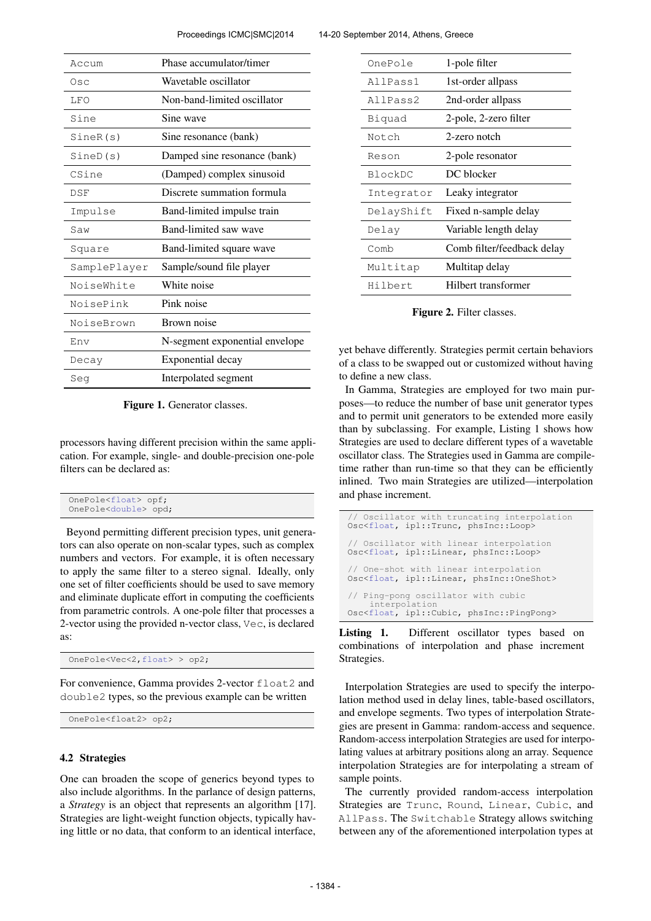Proceedings ICMC|SMC|2014 14-20 September 2014, Athens, Greece

| Accum        | Phase accumulator/timer        |
|--------------|--------------------------------|
| Osc          | Wavetable oscillator           |
| LFO          | Non-band-limited oscillator    |
| Sine         | Sine wave                      |
| SineR(s)     | Sine resonance (bank)          |
| SineD(s)     | Damped sine resonance (bank)   |
| CSine        | (Damped) complex sinusoid      |
| DSF          | Discrete summation formula     |
| Impulse      | Band-limited impulse train     |
| Saw          | Band-limited saw wave          |
| Square       | Band-limited square wave       |
| SamplePlayer | Sample/sound file player       |
| NoiseWhite   | White noise                    |
| NoisePink    | Pink noise                     |
| NoiseBrown   | Brown noise                    |
| Env          | N-segment exponential envelope |
| Decay        | Exponential decay              |
| Seg          | Interpolated segment           |

Figure 1. Generator classes.

processors having different precision within the same application. For example, single- and double-precision one-pole filters can be declared as:

| OnePole <float> opf;<br/>OnePole<double> opd;</double></float> |
|----------------------------------------------------------------|
|----------------------------------------------------------------|

Beyond permitting different precision types, unit generators can also operate on non-scalar types, such as complex numbers and vectors. For example, it is often necessary to apply the same filter to a stereo signal. Ideally, only one set of filter coefficients should be used to save memory and eliminate duplicate effort in computing the coefficients from parametric controls. A one-pole filter that processes a 2-vector using the provided n-vector class, Vec, is declared as:

OnePole<Vec<2,float> > op2;

For convenience, Gamma provides 2-vector float2 and double2 types, so the previous example can be written

```
OnePole<float2> op2;
```
#### 4.2 Strategies

One can broaden the scope of generics beyond types to also include algorithms. In the parlance of design patterns, a *Strategy* is an object that represents an algorithm [17]. Strategies are light-weight function objects, typically having little or no data, that conform to an identical interface,

| OnePole    | 1-pole filter              |
|------------|----------------------------|
| AllPass1   | 1st-order allpass          |
| AllPass2   | 2nd-order allpass          |
| Biquad     | 2-pole, 2-zero filter      |
| Notch      | 2-zero notch               |
| Reson      | 2-pole resonator           |
| BlockDC    | DC blocker                 |
| Integrator | Leaky integrator           |
| DelayShift | Fixed n-sample delay       |
| Delay      | Variable length delay      |
| Comb       | Comb filter/feedback delay |
| Multitap   | Multitap delay             |
| Hilbert    | Hilbert transformer        |

Figure 2. Filter classes.

yet behave differently. Strategies permit certain behaviors of a class to be swapped out or customized without having to define a new class.

In Gamma, Strategies are employed for two main purposes—to reduce the number of base unit generator types and to permit unit generators to be extended more easily than by subclassing. For example, Listing 1 shows how Strategies are used to declare different types of a wavetable oscillator class. The Strategies used in Gamma are compiletime rather than run-time so that they can be efficiently inlined. Two main Strategies are utilized—interpolation and phase increment.

| // Oscillator with truncating interpolation<br>Osc <float, ipl::trunc,="" phsinc::loop=""></float,>                     |
|-------------------------------------------------------------------------------------------------------------------------|
| // Oscillator with linear interpolation<br>Osc <float, ipl::linear,="" phsinc::loop=""></float,>                        |
| // One-shot with linear interpolation<br>Osc <float, ipl::linear,="" phsinc::oneshot=""></float,>                       |
| // Ping-pong oscillator with cubic<br>interpolation<br>Osc <float, cubic,="" ipl::="" phsinc::="" pingpong=""></float,> |

Listing 1. Different oscillator types based on combinations of interpolation and phase increment Strategies.

Interpolation Strategies are used to specify the interpolation method used in delay lines, table-based oscillators, and envelope segments. Two types of interpolation Strategies are present in Gamma: random-access and sequence. Random-access interpolation Strategies are used for interpolating values at arbitrary positions along an array. Sequence interpolation Strategies are for interpolating a stream of sample points.

The currently provided random-access interpolation Strategies are Trunc, Round, Linear, Cubic, and AllPass. The Switchable Strategy allows switching between any of the aforementioned interpolation types at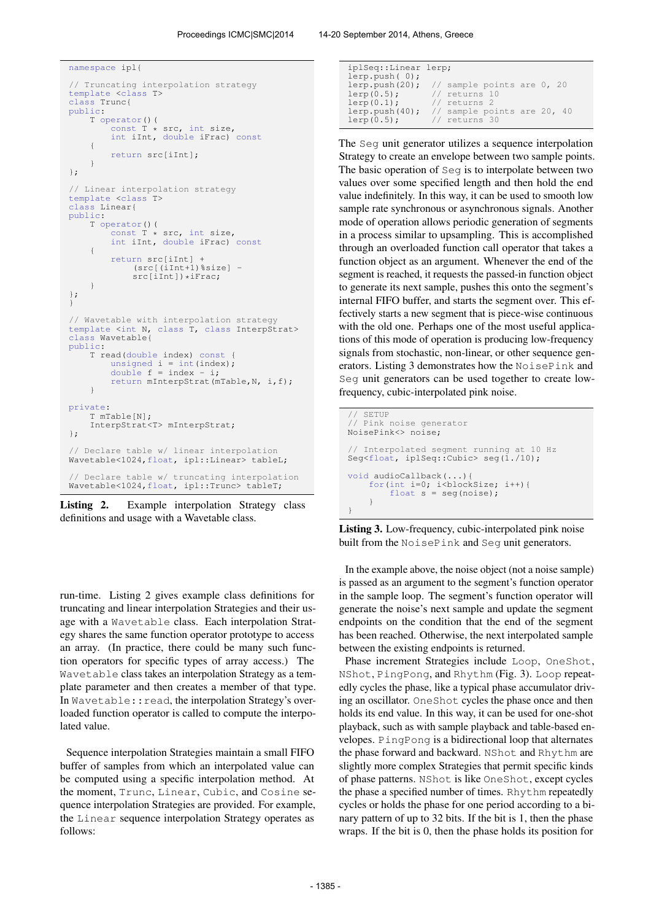```
namespace ipl{
// Truncating interpolation strategy
template <class T>
class Trunc{
public:
    T operator()(
         const T * src, int size,
         int iInt, double iFrac) const
     {
         return src[iInt];
     }
};
// Linear interpolation strategy
template <class T>
class Linear{
public:
    T operator()(<br>const T *
                  \hat{t} * src, int size,
         int iInt, double iFrac) const
     {
         return src[iInt] +
              (src[(iInt+1)%size] -
              src[iInt])*iFrac;
     }
};
}
// Wavetable with interpolation strategy
template <int N, class T, class InterpStrat>
class Wavetable{
public:
    T read(double index) const {
         unsigned i = int(inted);<br>double f = index - i;return mInterpStrat(mTable,N, i,f);
    }
private:
    T mTable[N];
    InterpStrat<T> mInterpStrat;
};
// Declare table w/ linear interpolation
Wavetable<1024,float, ipl::Linear> tableL;
// Declare table w/ truncating interpolation
Wavetable<1024,float, ipl::Trunc> tableT;
```
Listing 2. Example interpolation Strategy class definitions and usage with a Wavetable class.

run-time. Listing 2 gives example class definitions for truncating and linear interpolation Strategies and their usage with a Wavetable class. Each interpolation Strategy shares the same function operator prototype to access an array. (In practice, there could be many such function operators for specific types of array access.) The Wavetable class takes an interpolation Strategy as a template parameter and then creates a member of that type. In Wavetable:: read, the interpolation Strategy's overloaded function operator is called to compute the interpolated value.

Sequence interpolation Strategies maintain a small FIFO buffer of samples from which an interpolated value can be computed using a specific interpolation method. At the moment, Trunc, Linear, Cubic, and Cosine sequence interpolation Strategies are provided. For example, the Linear sequence interpolation Strategy operates as follows:

| iplSeq::Linear lerp; |                                               |
|----------------------|-----------------------------------------------|
| lerp.push(0);        |                                               |
|                      | lerp.push(20); $//$ sample points are $0, 20$ |
| $lerp(0.5)$ ;        | // returns 10                                 |
| $lerp(0.1)$ ;        | // returns 2                                  |
|                      | lerp.push(40); $//$ sample points are 20, 40  |
| $lerp(0.5)$ ;        | // returns 30                                 |

The Seg unit generator utilizes a sequence interpolation Strategy to create an envelope between two sample points. The basic operation of Seg is to interpolate between two values over some specified length and then hold the end value indefinitely. In this way, it can be used to smooth low sample rate synchronous or asynchronous signals. Another mode of operation allows periodic generation of segments in a process similar to upsampling. This is accomplished through an overloaded function call operator that takes a function object as an argument. Whenever the end of the segment is reached, it requests the passed-in function object to generate its next sample, pushes this onto the segment's internal FIFO buffer, and starts the segment over. This effectively starts a new segment that is piece-wise continuous with the old one. Perhaps one of the most useful applications of this mode of operation is producing low-frequency signals from stochastic, non-linear, or other sequence generators. Listing 3 demonstrates how the NoisePink and Seg unit generators can be used together to create lowfrequency, cubic-interpolated pink noise.

```
SETUP
// Pink noise generator
NoisePink<> noise;
// Interpolated segment running at 10 Hz
Seg<float, iplSeq::Cubic> seg(1./10);
void audioCallback(...){
    for(int i=0; i<br/>blockSize; i++){
        float s = seg(noise);
    }
}
```
Listing 3. Low-frequency, cubic-interpolated pink noise built from the NoisePink and Seg unit generators.

In the example above, the noise object (not a noise sample) is passed as an argument to the segment's function operator in the sample loop. The segment's function operator will generate the noise's next sample and update the segment endpoints on the condition that the end of the segment has been reached. Otherwise, the next interpolated sample between the existing endpoints is returned.

Phase increment Strategies include Loop, OneShot, NShot, PingPong, and Rhythm (Fig. 3). Loop repeatedly cycles the phase, like a typical phase accumulator driving an oscillator. OneShot cycles the phase once and then holds its end value. In this way, it can be used for one-shot playback, such as with sample playback and table-based envelopes. PingPong is a bidirectional loop that alternates the phase forward and backward. NShot and Rhythm are slightly more complex Strategies that permit specific kinds of phase patterns. NShot is like OneShot, except cycles the phase a specified number of times. Rhythm repeatedly cycles or holds the phase for one period according to a binary pattern of up to 32 bits. If the bit is 1, then the phase wraps. If the bit is 0, then the phase holds its position for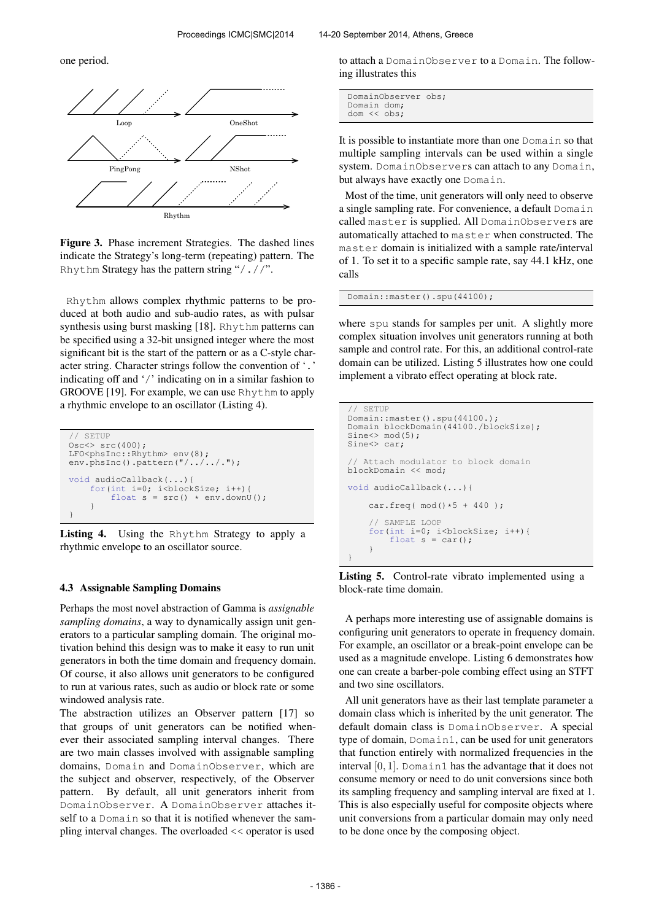one period.



Figure 3. Phase increment Strategies. The dashed lines indicate the Strategy's long-term (repeating) pattern. The Rhythm Strategy has the pattern string "/.//".

Rhythm allows complex rhythmic patterns to be produced at both audio and sub-audio rates, as with pulsar synthesis using burst masking [18]. Rhythm patterns can be specified using a 32-bit unsigned integer where the most significant bit is the start of the pattern or as a C-style character string. Character strings follow the convention of '.' indicating off and '/' indicating on in a similar fashion to GROOVE [19]. For example, we can use Rhythm to apply a rhythmic envelope to an oscillator (Listing 4).

```
// SETUP
Osc<> src(400);
LFO<phsInc::Rhythm> env(8);
env.phsInc().pattern("/../../.");
void audioCallback(...){
     for(int i=0; i<br/> i<br/>blockSize; i++){<br>
float s = src() * env.downU();
     }
}
```
Listing 4. Using the Rhythm Strategy to apply a rhythmic envelope to an oscillator source.

#### 4.3 Assignable Sampling Domains

Perhaps the most novel abstraction of Gamma is *assignable sampling domains*, a way to dynamically assign unit generators to a particular sampling domain. The original motivation behind this design was to make it easy to run unit generators in both the time domain and frequency domain. Of course, it also allows unit generators to be configured to run at various rates, such as audio or block rate or some windowed analysis rate.

The abstraction utilizes an Observer pattern [17] so that groups of unit generators can be notified whenever their associated sampling interval changes. There are two main classes involved with assignable sampling domains, Domain and DomainObserver, which are the subject and observer, respectively, of the Observer pattern. By default, all unit generators inherit from DomainObserver. A DomainObserver attaches itself to a Domain so that it is notified whenever the sampling interval changes. The overloaded << operator is used

to attach a DomainObserver to a Domain. The following illustrates this

```
DomainObserver obs;
Domain dom;
dom << obs;
```
It is possible to instantiate more than one Domain so that multiple sampling intervals can be used within a single system. DomainObservers can attach to any Domain, but always have exactly one Domain.

Most of the time, unit generators will only need to observe a single sampling rate. For convenience, a default Domain called master is supplied. All DomainObservers are automatically attached to master when constructed. The master domain is initialized with a sample rate/interval of 1. To set it to a specific sample rate, say 44.1 kHz, one calls

Domain::master().spu(44100);

where spu stands for samples per unit. A slightly more complex situation involves unit generators running at both sample and control rate. For this, an additional control-rate domain can be utilized. Listing 5 illustrates how one could implement a vibrato effect operating at block rate.

```
// SETUP
Domain::master().spu(44100.);
Domain blockDomain(44100./blockSize);
Sine\leftarrow mod(5);
Sine<> car;
  Attach modulator to block domain
blockDomain << mod;
void audioCallback(...){
    car.freq(mod() * 5 + 440);
    // SAMPLE LOOP
    for(int i=0; i<br/>blockSize; i++){
         float s = car();
    }
}
```
Listing 5. Control-rate vibrato implemented using a block-rate time domain.

A perhaps more interesting use of assignable domains is configuring unit generators to operate in frequency domain. For example, an oscillator or a break-point envelope can be used as a magnitude envelope. Listing 6 demonstrates how one can create a barber-pole combing effect using an STFT and two sine oscillators.

All unit generators have as their last template parameter a domain class which is inherited by the unit generator. The default domain class is DomainObserver. A special type of domain, Domain1, can be used for unit generators that function entirely with normalized frequencies in the interval  $[0, 1]$ . Domain1 has the advantage that it does not consume memory or need to do unit conversions since both its sampling frequency and sampling interval are fixed at 1. This is also especially useful for composite objects where unit conversions from a particular domain may only need to be done once by the composing object.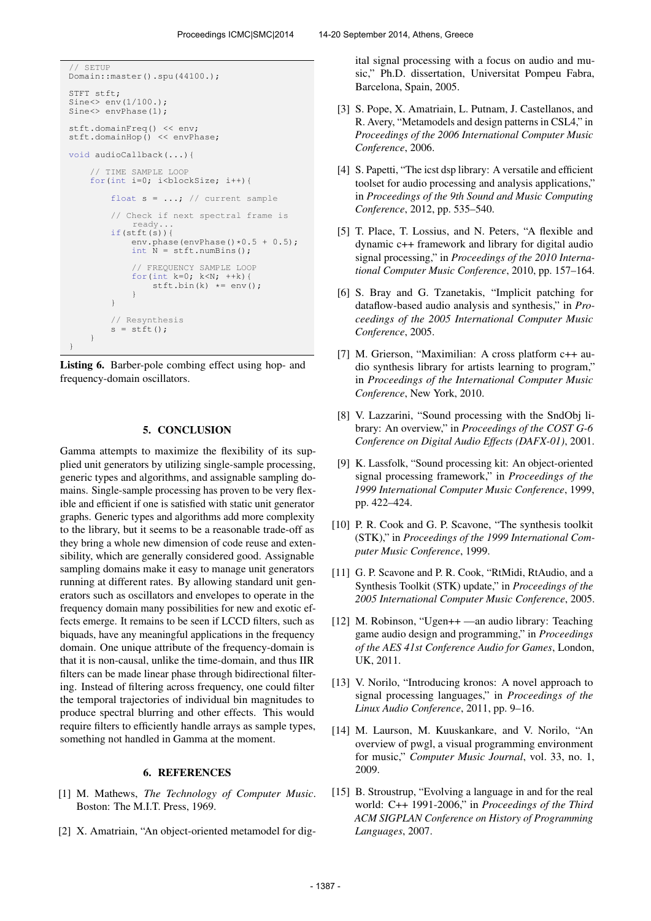```
SETUP
Domain::master().spu(44100.);
STFT stft;
Sine \gg env(1/100.);Sine<> envPhase(1):
stft.domainFreq() << env;
stft.domainHop() << envPhase;
void audioCallback(...){
     // TIME SAMPLE LOOP
    for(int i=0; i<br/>blockSize; i++){
         float s = ...; // current sample
         // Check if next spectral frame is
              ready...
         if(stft(s)){
             env.phase(envPhase()*0.5 + 0.5);
              int \bar{N} = \text{stft.numBins}();
              // FREQUENCY SAMPLE LOOP
              for(int k=0; k<N; ++k){<br>stft.bin(k) *= env();
              }
         }
         // Resynthesis
         s = \text{stft}();
    }
}
```
Listing 6. Barber-pole combing effect using hop- and frequency-domain oscillators.

## 5. CONCLUSION

Gamma attempts to maximize the flexibility of its supplied unit generators by utilizing single-sample processing, generic types and algorithms, and assignable sampling domains. Single-sample processing has proven to be very flexible and efficient if one is satisfied with static unit generator graphs. Generic types and algorithms add more complexity to the library, but it seems to be a reasonable trade-off as they bring a whole new dimension of code reuse and extensibility, which are generally considered good. Assignable sampling domains make it easy to manage unit generators running at different rates. By allowing standard unit generators such as oscillators and envelopes to operate in the frequency domain many possibilities for new and exotic effects emerge. It remains to be seen if LCCD filters, such as biquads, have any meaningful applications in the frequency domain. One unique attribute of the frequency-domain is that it is non-causal, unlike the time-domain, and thus IIR filters can be made linear phase through bidirectional filtering. Instead of filtering across frequency, one could filter the temporal trajectories of individual bin magnitudes to produce spectral blurring and other effects. This would require filters to efficiently handle arrays as sample types, something not handled in Gamma at the moment.

## 6. REFERENCES

- [1] M. Mathews, *The Technology of Computer Music*. Boston: The M.I.T. Press, 1969.
- [2] X. Amatriain, "An object-oriented metamodel for dig-

Barcelona, Spain, 2005.

- [3] S. Pope, X. Amatriain, L. Putnam, J. Castellanos, and R. Avery, "Metamodels and design patterns in CSL4," in *Proceedings of the 2006 International Computer Music Conference*, 2006.
- [4] S. Papetti, "The icst dsp library: A versatile and efficient toolset for audio processing and analysis applications," in *Proceedings of the 9th Sound and Music Computing Conference*, 2012, pp. 535–540.
- [5] T. Place, T. Lossius, and N. Peters, "A flexible and dynamic c++ framework and library for digital audio signal processing," in *Proceedings of the 2010 International Computer Music Conference*, 2010, pp. 157–164.
- [6] S. Bray and G. Tzanetakis, "Implicit patching for dataflow-based audio analysis and synthesis," in *Proceedings of the 2005 International Computer Music Conference*, 2005.
- [7] M. Grierson, "Maximilian: A cross platform c++ audio synthesis library for artists learning to program," in *Proceedings of the International Computer Music Conference*, New York, 2010.
- [8] V. Lazzarini, "Sound processing with the SndObj library: An overview," in *Proceedings of the COST G-6 Conference on Digital Audio Effects (DAFX-01)*, 2001.
- [9] K. Lassfolk, "Sound processing kit: An object-oriented signal processing framework," in *Proceedings of the 1999 International Computer Music Conference*, 1999, pp. 422–424.
- [10] P. R. Cook and G. P. Scavone, "The synthesis toolkit (STK)," in *Proceedings of the 1999 International Computer Music Conference*, 1999.
- [11] G. P. Scavone and P. R. Cook, "RtMidi, RtAudio, and a Synthesis Toolkit (STK) update," in *Proceedings of the 2005 International Computer Music Conference*, 2005.
- [12] M. Robinson, "Ugen++ —an audio library: Teaching game audio design and programming," in *Proceedings of the AES 41st Conference Audio for Games*, London, UK, 2011.
- [13] V. Norilo, "Introducing kronos: A novel approach to signal processing languages," in *Proceedings of the Linux Audio Conference*, 2011, pp. 9–16.
- [14] M. Laurson, M. Kuuskankare, and V. Norilo, "An overview of pwgl, a visual programming environment for music," *Computer Music Journal*, vol. 33, no. 1, 2009.
- [15] B. Stroustrup, "Evolving a language in and for the real world: C++ 1991-2006," in *Proceedings of the Third ACM SIGPLAN Conference on History of Programming Languages*, 2007.